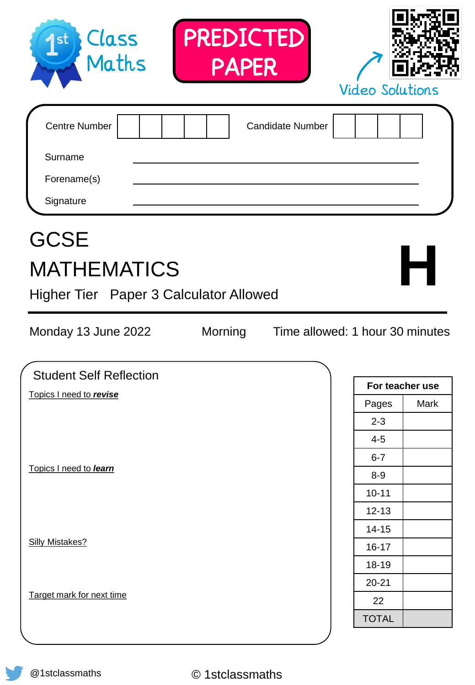| Signature<br><b>GCSE</b><br><b>MATHEMATICS</b><br>Higher Tier Paper 3 Calculator Allowed |                 |                                 |                 | Н    |
|------------------------------------------------------------------------------------------|-----------------|---------------------------------|-----------------|------|
| Monday 13 June 2022                                                                      | Morning         | Time allowed: 1 hour 30 minutes |                 |      |
| <b>Student Self Reflection</b>                                                           |                 |                                 | For teacher use |      |
| Topics I need to revise                                                                  |                 |                                 | Pages           | Mark |
|                                                                                          |                 |                                 | $2 - 3$         |      |
|                                                                                          |                 |                                 | $4 - 5$         |      |
|                                                                                          |                 |                                 | $6 - 7$         |      |
| Topics I need to learn                                                                   |                 |                                 | $8 - 9$         |      |
|                                                                                          |                 |                                 | $10 - 11$       |      |
|                                                                                          |                 |                                 | $12 - 13$       |      |
|                                                                                          |                 |                                 | $14 - 15$       |      |
| <b>Silly Mistakes?</b>                                                                   |                 |                                 | $16 - 17$       |      |
|                                                                                          |                 |                                 | 18-19           |      |
|                                                                                          |                 |                                 | $20 - 21$       |      |
| Target mark for next time                                                                |                 |                                 | 22              |      |
|                                                                                          |                 |                                 | <b>TOTAL</b>    |      |
| @1stclassmaths                                                                           | © 1stclassmaths |                                 |                 |      |

PREDICTED PAPER

Centre Number | | | | | | Candidate Number

Surname

 $1<sup>st</sup>$ 

Class<br>Maths



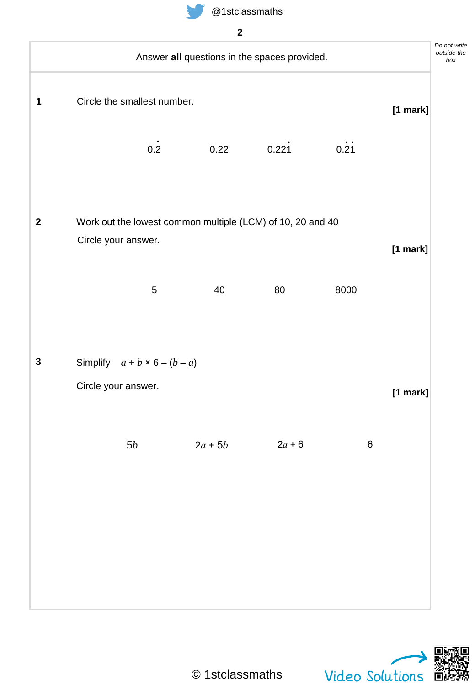





*box*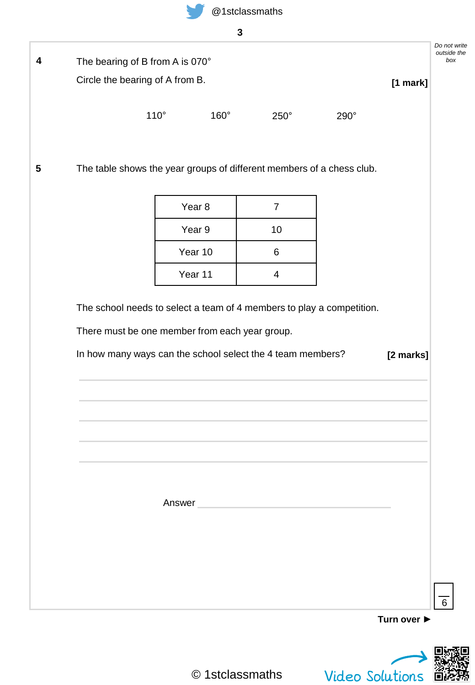

|                                 |             | $\mathbf{3}$      |                |                                                                       |          |
|---------------------------------|-------------|-------------------|----------------|-----------------------------------------------------------------------|----------|
| The bearing of B from A is 070° |             |                   |                |                                                                       |          |
| Circle the bearing of A from B. |             |                   |                |                                                                       | [1 mark] |
|                                 | $110^\circ$ | 160°              | $250^\circ$    | 290°                                                                  |          |
|                                 |             |                   |                | The table shows the year groups of different members of a chess club. |          |
|                                 |             |                   |                |                                                                       |          |
|                                 |             | Year <sub>8</sub> | $\overline{7}$ |                                                                       |          |
|                                 |             | Year 9            | 10             |                                                                       |          |
|                                 |             | Year 10           | 6              |                                                                       |          |
|                                 |             | Year 11           | 4              |                                                                       |          |
|                                 |             |                   |                |                                                                       |          |
|                                 |             |                   |                |                                                                       |          |
|                                 |             |                   |                |                                                                       |          |
|                                 |             |                   |                |                                                                       |          |
|                                 |             |                   |                |                                                                       |          |
|                                 |             |                   |                |                                                                       |          |
|                                 |             |                   |                |                                                                       |          |
|                                 |             |                   | Answer         |                                                                       |          |

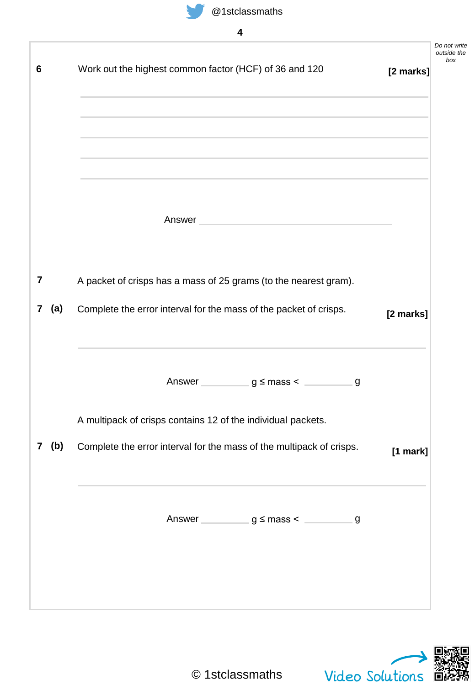

|                |       |                                                                      |           | Do not write<br>outside the<br>box |
|----------------|-------|----------------------------------------------------------------------|-----------|------------------------------------|
| 6              |       | Work out the highest common factor (HCF) of 36 and 120               | [2 marks] |                                    |
|                |       |                                                                      |           |                                    |
|                |       |                                                                      |           |                                    |
|                |       |                                                                      |           |                                    |
|                |       |                                                                      |           |                                    |
|                |       | Answer                                                               |           |                                    |
|                |       |                                                                      |           |                                    |
| 7              |       | A packet of crisps has a mass of 25 grams (to the nearest gram).     |           |                                    |
|                |       |                                                                      |           |                                    |
| $7\phantom{.}$ | (a)   | Complete the error interval for the mass of the packet of crisps.    | [2 marks] |                                    |
|                |       |                                                                      |           |                                    |
|                |       | Answer $g \leq$ mass <<br>g                                          |           |                                    |
|                |       |                                                                      |           |                                    |
|                |       | A multipack of crisps contains 12 of the individual packets.         |           |                                    |
|                | 7 (b) | Complete the error interval for the mass of the multipack of crisps. | [1 mark]  |                                    |
|                |       |                                                                      |           |                                    |
|                |       |                                                                      |           |                                    |
|                |       | Answer $g \leq$ mass < $g \leq$                                      |           |                                    |
|                |       |                                                                      |           |                                    |
|                |       |                                                                      |           |                                    |
|                |       |                                                                      |           |                                    |

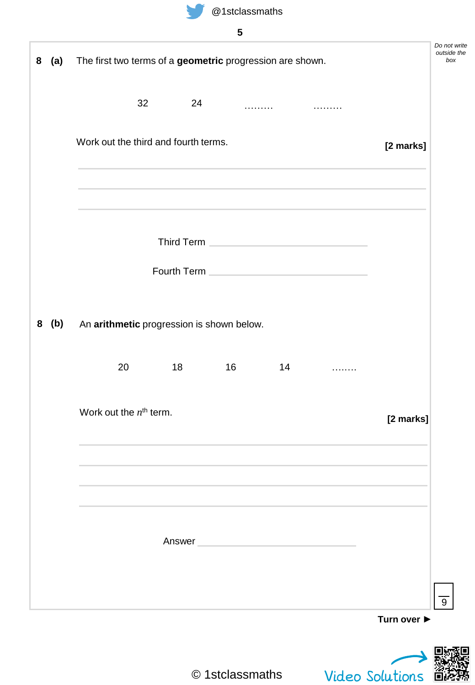

**(a)**

|    |                                      | $\sim$ $\sim$ $\sim$ $\sim$ $\sim$ $\sim$                 |           |
|----|--------------------------------------|-----------------------------------------------------------|-----------|
|    |                                      | 5                                                         |           |
|    |                                      | The first two terms of a geometric progression are shown. |           |
| 32 | 24                                   |                                                           |           |
|    | Work out the third and fourth terms. |                                                           | [2 marks] |
|    |                                      |                                                           |           |

|                                                 |                 |        |    | Third Term <b>Contract Contract Contract Contract Contract Contract Contract Contract Contract Contract Contract Contract Contract Contract Contract Contract Contract Contract Contract Contract Contract Contract Contract Con</b><br>Fourth Term <b>Contract Contract Contract Contract Contract Contract Contract Contract Contract Contract Contract Contract Contract Contract Contract Contract Contract Contract Contract Contract Contract Contract Contract Co</b> |             |
|-------------------------------------------------|-----------------|--------|----|------------------------------------------------------------------------------------------------------------------------------------------------------------------------------------------------------------------------------------------------------------------------------------------------------------------------------------------------------------------------------------------------------------------------------------------------------------------------------|-------------|
| 8 (b) An arithmetic progression is shown below. |                 |        |    |                                                                                                                                                                                                                                                                                                                                                                                                                                                                              |             |
| 20                                              | $\overline{18}$ | 16     | 14 |                                                                                                                                                                                                                                                                                                                                                                                                                                                                              |             |
| Work out the $n^{\text{th}}$ term.              |                 |        |    | ,我们也不会有什么。""我们的人,我们也不会有什么?""我们的人,我们也不会有什么?""我们的人,我们也不会有什么?""我们的人,我们也不会有什么?""我们的人                                                                                                                                                                                                                                                                                                                                                                                             | [2 marks]   |
|                                                 |                 | Answer |    |                                                                                                                                                                                                                                                                                                                                                                                                                                                                              |             |
|                                                 |                 |        |    |                                                                                                                                                                                                                                                                                                                                                                                                                                                                              | Turn over ▶ |



*Do not write outside the box*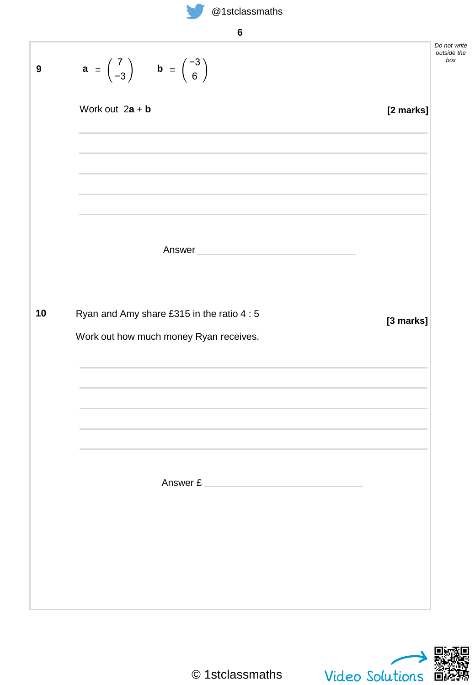

| ×,                      |
|-------------------------|
| ć<br>×<br>۰.<br>×<br>۰. |

| $a = \begin{pmatrix} 7 \\ -3 \end{pmatrix}$ $b = \begin{pmatrix} -3 \\ 6 \end{pmatrix}$<br>Work out $2a + b$<br>Answer<br>Ryan and Amy share £315 in the ratio 4 : 5<br>Work out how much money Ryan receives.<br>Answer £ |           |
|----------------------------------------------------------------------------------------------------------------------------------------------------------------------------------------------------------------------------|-----------|
|                                                                                                                                                                                                                            |           |
|                                                                                                                                                                                                                            | [2 marks] |
|                                                                                                                                                                                                                            |           |
|                                                                                                                                                                                                                            |           |
|                                                                                                                                                                                                                            |           |
|                                                                                                                                                                                                                            |           |
|                                                                                                                                                                                                                            |           |
|                                                                                                                                                                                                                            |           |
|                                                                                                                                                                                                                            | [3 marks] |
|                                                                                                                                                                                                                            |           |
|                                                                                                                                                                                                                            |           |
|                                                                                                                                                                                                                            |           |
|                                                                                                                                                                                                                            |           |
|                                                                                                                                                                                                                            |           |
|                                                                                                                                                                                                                            |           |
|                                                                                                                                                                                                                            |           |
|                                                                                                                                                                                                                            |           |
|                                                                                                                                                                                                                            |           |
|                                                                                                                                                                                                                            |           |
|                                                                                                                                                                                                                            |           |

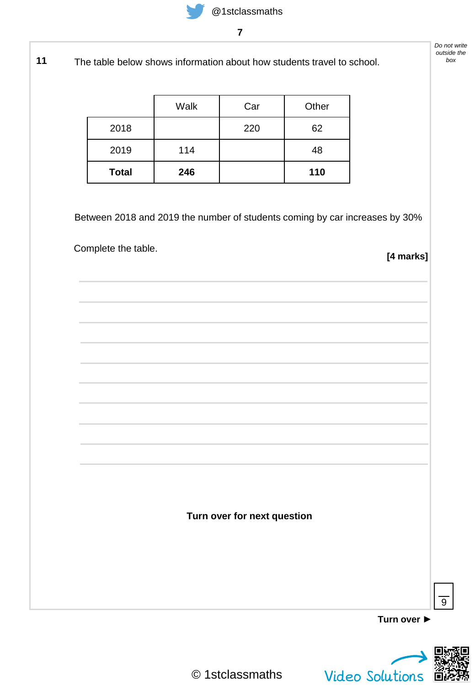**11** The table below shows information about how students travel to school.

|              | Walk | Car | Other |
|--------------|------|-----|-------|
| 2018         |      | 220 | 62    |
| 2019         | 114  |     | 48    |
| <b>Total</b> | 246  |     | 110   |

Between 2018 and 2019 the number of students coming by car increases by 30%

Complete the table.

**[4 marks]**

**Turn over ►**



 $\overline{9}$ 

© 1stclassmaths

**Turn over for next question**

*Do not write outside the box*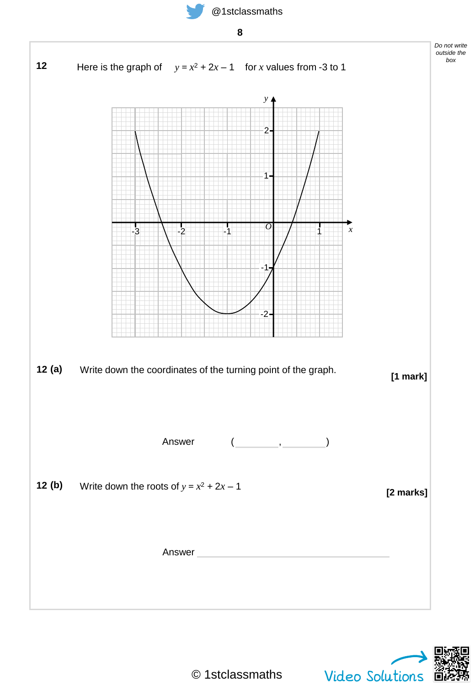

Answer

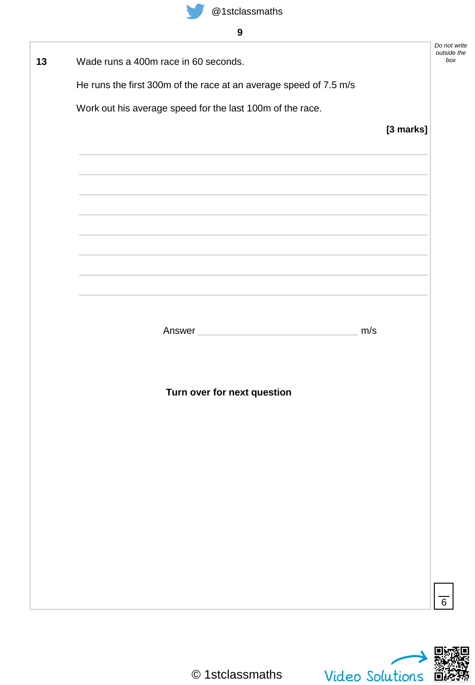| Wade runs a 400m race in 60 seconds.                                                                             |           | Do not write<br>outside the |
|------------------------------------------------------------------------------------------------------------------|-----------|-----------------------------|
| He runs the first 300m of the race at an average speed of 7.5 m/s                                                |           |                             |
| Work out his average speed for the last 100m of the race.                                                        |           |                             |
|                                                                                                                  | [3 marks] |                             |
|                                                                                                                  |           |                             |
|                                                                                                                  |           |                             |
|                                                                                                                  |           |                             |
|                                                                                                                  |           |                             |
|                                                                                                                  |           |                             |
| and the control of the control of the control of the control of the control of the control of the control of the |           |                             |
|                                                                                                                  |           |                             |
|                                                                                                                  |           |                             |
|                                                                                                                  |           |                             |
| Answer                                                                                                           | m/s       |                             |
|                                                                                                                  |           |                             |
|                                                                                                                  |           |                             |
| Turn over for next question                                                                                      |           |                             |
|                                                                                                                  |           |                             |
|                                                                                                                  |           |                             |
|                                                                                                                  |           |                             |
|                                                                                                                  |           |                             |
|                                                                                                                  |           |                             |
|                                                                                                                  |           |                             |
|                                                                                                                  |           |                             |
|                                                                                                                  |           |                             |
|                                                                                                                  |           |                             |
|                                                                                                                  |           |                             |
|                                                                                                                  |           |                             |

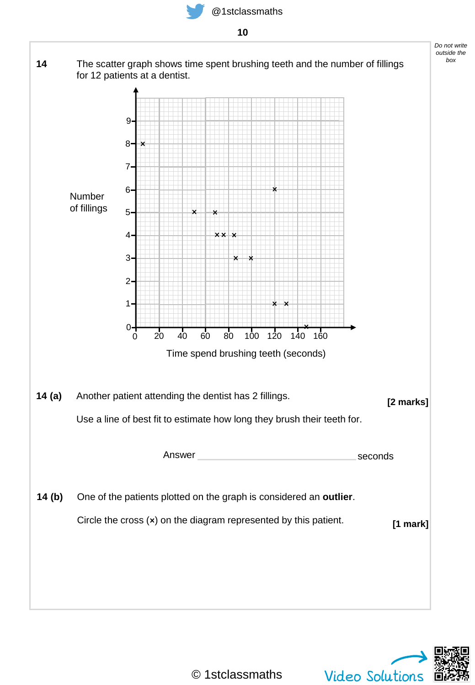**10**



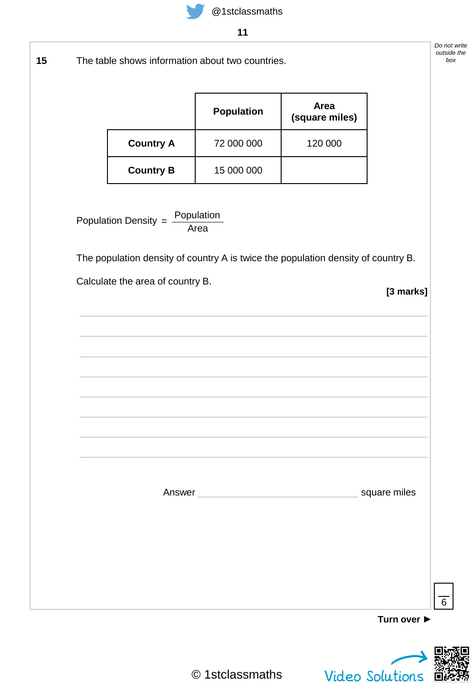

The table shows information about two countries. **15**

|                  | <b>Population</b> | Area<br>(square miles) |
|------------------|-------------------|------------------------|
| <b>Country A</b> | 72 000 000        | 120 000                |
| <b>Country B</b> | 15 000 000        |                        |

Population Density  $=\frac{Population}{n}$ Area

The population density of country A is twice the population density of country B.

Calculate the area of country B.

**[3 marks]**

|  | ,我们也不会有什么。""我们的人,我们也不会有什么?""我们的人,我们也不会有什么?""我们的人,我们也不会有什么?""我们的人,我们也不会有什么?""我们的人 |
|--|----------------------------------------------------------------------------------|
|  |                                                                                  |
|  | square miles                                                                     |
|  |                                                                                  |
|  |                                                                                  |
|  |                                                                                  |
|  |                                                                                  |
|  | Turn over ▶                                                                      |



6

© 1stclassmaths

*Do not write outside the box*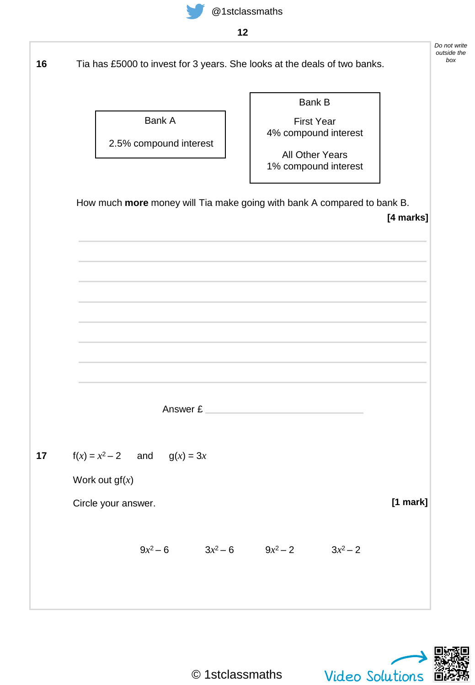

Tia has £5000 to invest for 3 years. She looks at the deals of two banks. **16**

Bank A

2.5% compound interest

First Year 4% compound interest

Bank B

All Other Years 1% compound interest

How much **more** money will Tia make going with bank A compared to bank B.

**[4 marks]**

Answer £

**17**  $f(x) = x^2 - 2$  and  $g(x) = 3x$ 

Work out gf(*x*)

Circle your answer.

 $9x^2-6$   $3x^2-6$   $9x^2-2$   $3x$  $3x^2-2$ 



**[1 mark]**

© 1stclassmaths

*Do not write outside the box*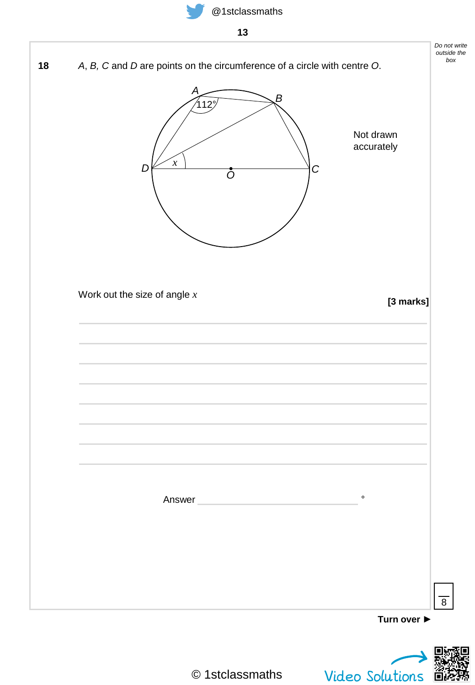

| IJ                                                                                                                                                        |                                                                            |
|-----------------------------------------------------------------------------------------------------------------------------------------------------------|----------------------------------------------------------------------------|
| A, B, C and D are points on the circumference of a circle with centre O.<br>A<br>$^{\prime}$ 112 $^{\circ}$<br>$\boldsymbol{\chi}$<br>D<br>$\overline{O}$ | Do not write<br>$\overline{B}$<br>Not drawn<br>accurately<br>$\mathcal{C}$ |
| Work out the size of angle $x$                                                                                                                            | [3 marks]                                                                  |
| Answer                                                                                                                                                    | $\circ$                                                                    |
|                                                                                                                                                           | Turn over $\blacktriangleright$                                            |

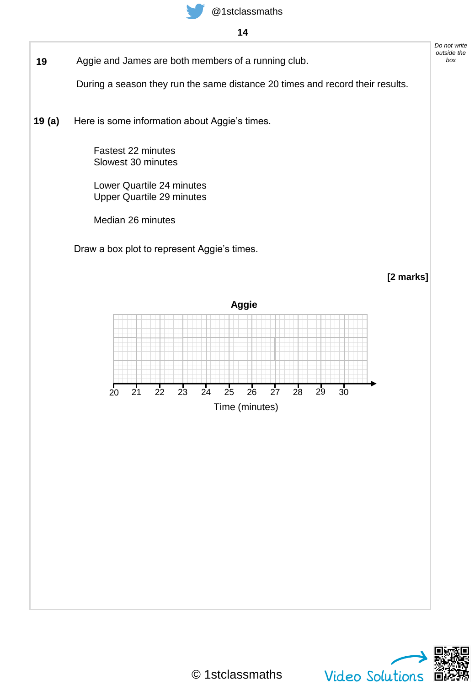

- **14**
- **19** Aggie and James are both members of a running club.

During a season they run the same distance 20 times and record their results.

Here is some information about Aggie's times. **19 (a)**

> Fastest 22 minutes Slowest 30 minutes

Lower Quartile 24 minutes Upper Quartile 29 minutes

Median 26 minutes

Draw a box plot to represent Aggie's times.

**[2 marks]**

*Do not write outside the box*



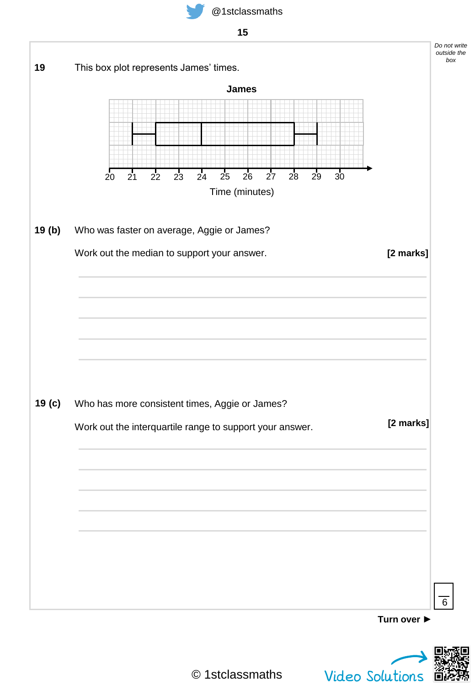



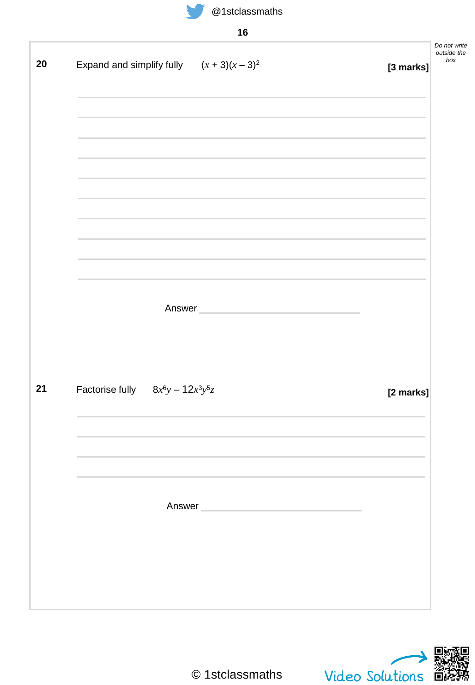

|  | Do not write<br>outside the<br>box<br>[3 marks]                                                         |
|--|---------------------------------------------------------------------------------------------------------|
|  |                                                                                                         |
|  |                                                                                                         |
|  |                                                                                                         |
|  |                                                                                                         |
|  |                                                                                                         |
|  | [2 marks]                                                                                               |
|  |                                                                                                         |
|  |                                                                                                         |
|  | Expand and simplify fully $(x + 3)(x - 3)^2$<br>Answer<br>Factorise fully $8x^6y - 12x^3y^5z$<br>Answer |

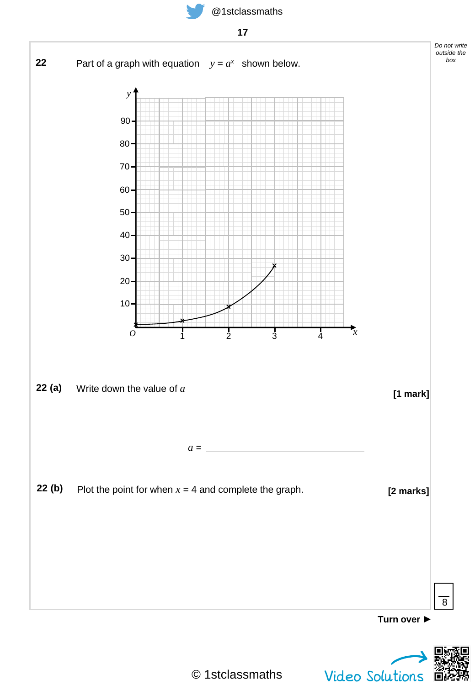





© 1stclassmaths

Video Solutions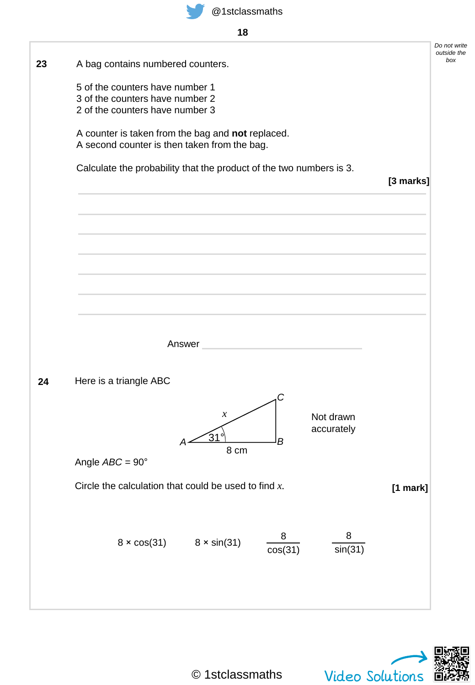





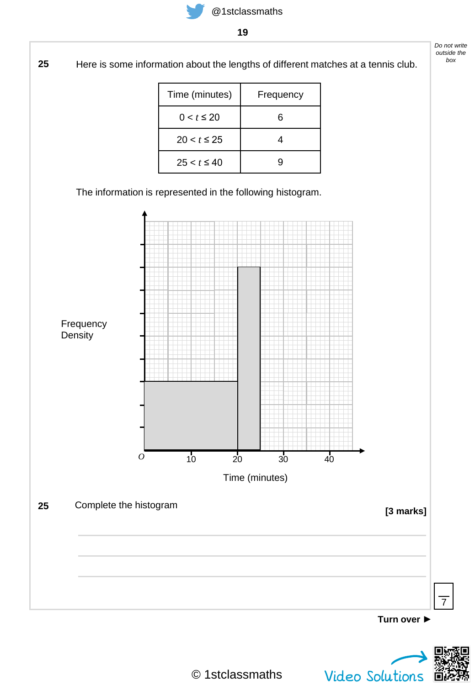

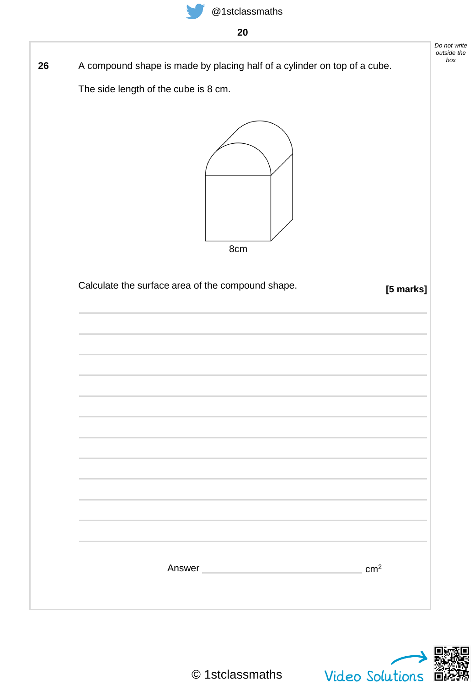

**20**

A compound shape is made by placing half of a cylinder on top of a cube. **26**

The side length of the cube is 8 cm.



8cm

| Calculate the surface area of the compound shape.                                |  | [5 marks]       |
|----------------------------------------------------------------------------------|--|-----------------|
|                                                                                  |  |                 |
|                                                                                  |  |                 |
|                                                                                  |  |                 |
| ,我们也不会有什么。""我们的人,我们也不会有什么?""我们的人,我们也不会有什么?""我们的人,我们也不会有什么?""我们的人,我们也不会有什么?""我们的人 |  |                 |
|                                                                                  |  |                 |
|                                                                                  |  |                 |
| ,我们也不会有什么?""我们的人,我们也不会有什么?""我们的人,我们也不会有什么?""我们的人,我们也不会有什么?""我们的人,我们也不会有什么?""我们的人 |  |                 |
| ,我们也不会有什么。""我们的人,我们也不会有什么?""我们的人,我们也不会有什么?""我们的人,我们也不会有什么?""我们的人,我们也不会有什么?""我们的人 |  |                 |
|                                                                                  |  |                 |
|                                                                                  |  |                 |
|                                                                                  |  |                 |
|                                                                                  |  |                 |
| Answer                                                                           |  | cm <sup>2</sup> |
|                                                                                  |  |                 |



*Do not write outside the box*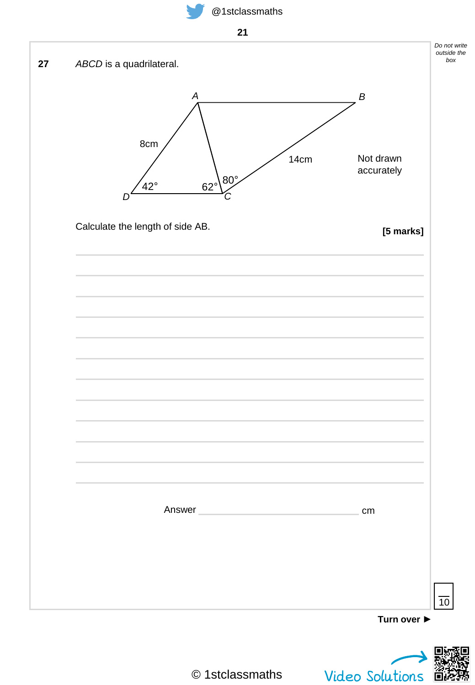



© 1stclassmaths

Video Solutions